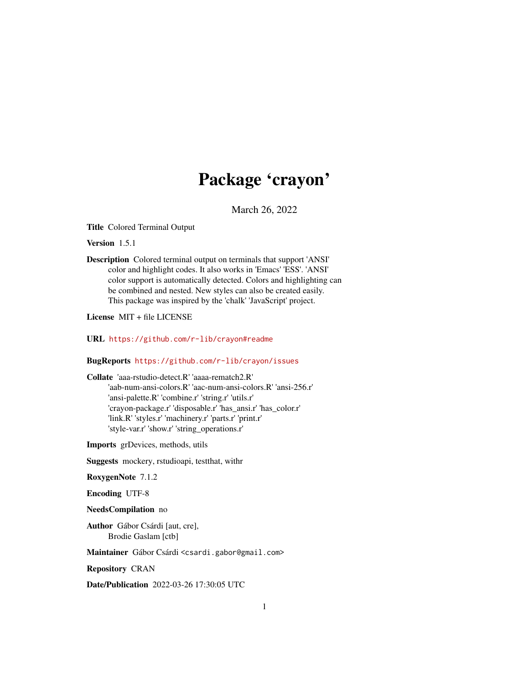# Package 'crayon'

March 26, 2022

<span id="page-0-0"></span>Title Colored Terminal Output

Version 1.5.1

Description Colored terminal output on terminals that support 'ANSI' color and highlight codes. It also works in 'Emacs' 'ESS'. 'ANSI' color support is automatically detected. Colors and highlighting can be combined and nested. New styles can also be created easily. This package was inspired by the 'chalk' 'JavaScript' project.

License MIT + file LICENSE

URL <https://github.com/r-lib/crayon#readme>

#### BugReports <https://github.com/r-lib/crayon/issues>

Collate 'aaa-rstudio-detect.R' 'aaaa-rematch2.R' 'aab-num-ansi-colors.R' 'aac-num-ansi-colors.R' 'ansi-256.r' 'ansi-palette.R' 'combine.r' 'string.r' 'utils.r' 'crayon-package.r' 'disposable.r' 'has\_ansi.r' 'has\_color.r' 'link.R' 'styles.r' 'machinery.r' 'parts.r' 'print.r' 'style-var.r' 'show.r' 'string\_operations.r'

Imports grDevices, methods, utils

Suggests mockery, rstudioapi, testthat, withr

RoxygenNote 7.1.2

Encoding UTF-8

NeedsCompilation no

Author Gábor Csárdi [aut, cre], Brodie Gaslam [ctb]

Maintainer Gábor Csárdi <csardi.gabor@gmail.com>

Repository CRAN

Date/Publication 2022-03-26 17:30:05 UTC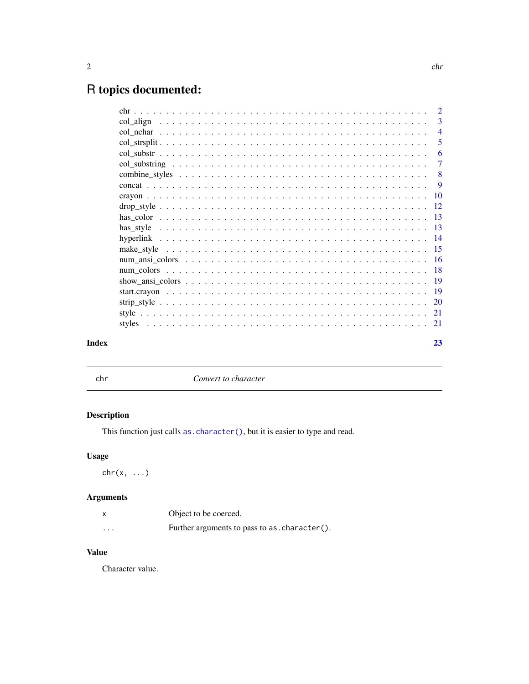## <span id="page-1-0"></span>R topics documented:

| Index |                                                                                                                                                                                                                                | 23             |
|-------|--------------------------------------------------------------------------------------------------------------------------------------------------------------------------------------------------------------------------------|----------------|
|       |                                                                                                                                                                                                                                |                |
|       |                                                                                                                                                                                                                                |                |
|       |                                                                                                                                                                                                                                |                |
|       |                                                                                                                                                                                                                                |                |
|       |                                                                                                                                                                                                                                |                |
|       |                                                                                                                                                                                                                                |                |
|       | num ansi colors experience experience and the color of the color of the color of the color of the color of the color of the color of the color of the color of the color of the color of the color of the color of the color o |                |
|       |                                                                                                                                                                                                                                |                |
|       |                                                                                                                                                                                                                                |                |
|       |                                                                                                                                                                                                                                |                |
|       |                                                                                                                                                                                                                                |                |
|       |                                                                                                                                                                                                                                |                |
|       |                                                                                                                                                                                                                                |                |
|       |                                                                                                                                                                                                                                |                |
|       |                                                                                                                                                                                                                                |                |
|       |                                                                                                                                                                                                                                | $\overline{7}$ |
|       |                                                                                                                                                                                                                                | 6              |
|       |                                                                                                                                                                                                                                | 5              |
|       |                                                                                                                                                                                                                                | $\overline{4}$ |
|       |                                                                                                                                                                                                                                | -3             |
|       |                                                                                                                                                                                                                                |                |

| ×                  |  |
|--------------------|--|
| I<br>×<br>M.<br>۰. |  |

chr *Convert to character*

### Description

This function just calls as. character(), but it is easier to type and read.

#### Usage

 $chr(x, \ldots)$ 

### Arguments

|          | Object to be coerced.                         |
|----------|-----------------------------------------------|
| $\cdots$ | Further arguments to pass to as, character(). |

#### Value

Character value.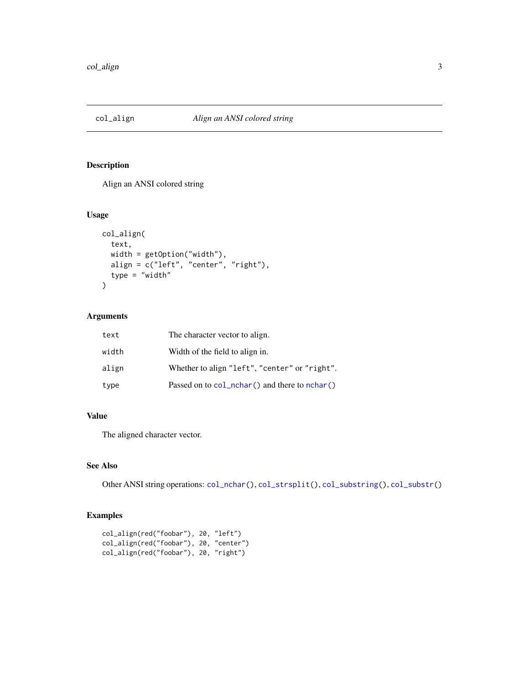<span id="page-2-1"></span><span id="page-2-0"></span>

Align an ANSI colored string

#### Usage

```
col_align(
  text,
  width = getOption("width"),
  align = c("left", "center", "right"),
  type = "width"
\mathcal{L}
```
#### Arguments

| text  | The character vector to align.                    |
|-------|---------------------------------------------------|
| width | Width of the field to align in.                   |
| align | Whether to align "left", "center" or "right".     |
| type  | Passed on to $col_nchar()$ and there to $nchar()$ |

#### Value

The aligned character vector.

#### See Also

Other ANSI string operations: [col\\_nchar\(](#page-3-1)), [col\\_strsplit\(](#page-4-1)), [col\\_substring\(](#page-6-1)), [col\\_substr\(](#page-5-1))

```
col_align(red("foobar"), 20, "left")
col_align(red("foobar"), 20, "center")
col_align(red("foobar"), 20, "right")
```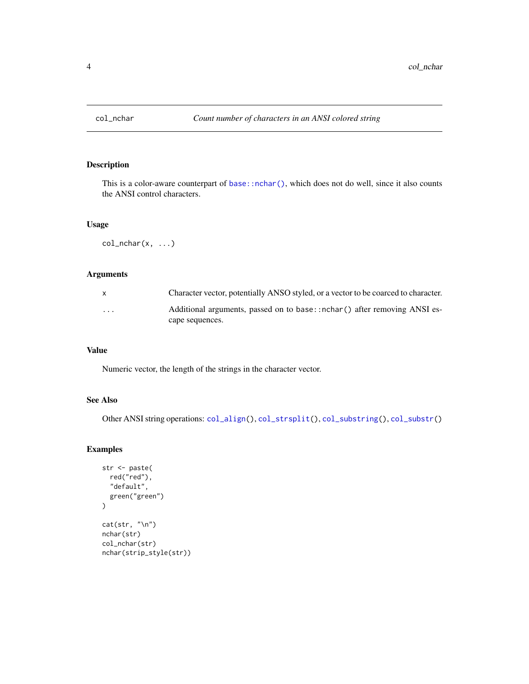<span id="page-3-1"></span><span id="page-3-0"></span>

This is a color-aware counterpart of [base::nchar\(\)](#page-0-0), which does not do well, since it also counts the ANSI control characters.

#### Usage

 $col\_nchar(x, \ldots)$ 

#### Arguments

| X        | Character vector, potentially ANSO styled, or a vector to be coarced to character. |
|----------|------------------------------------------------------------------------------------|
| $\cdots$ | Additional arguments, passed on to base::nchar() after removing ANSI es-           |
|          | cape sequences.                                                                    |

#### Value

Numeric vector, the length of the strings in the character vector.

#### See Also

Other ANSI string operations: [col\\_align\(](#page-2-1)), [col\\_strsplit\(](#page-4-1)), [col\\_substring\(](#page-6-1)), [col\\_substr\(](#page-5-1))

```
str <- paste(
  red("red"),
  "default",
  green("green")
\overline{)}cat(str, "\n")
nchar(str)
col_nchar(str)
nchar(strip_style(str))
```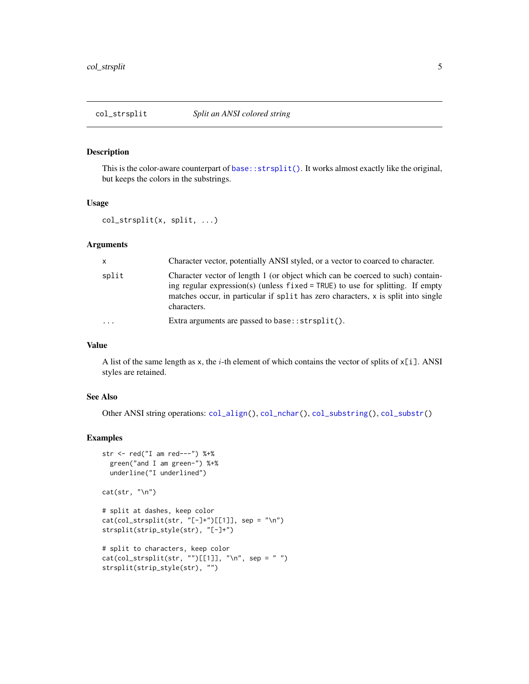<span id="page-4-1"></span><span id="page-4-0"></span>

This is the color-aware counterpart of base:: $\text{strsplit}($ ). It works almost exactly like the original, but keeps the colors in the substrings.

#### Usage

```
col_strsplit(x, split, ...)
```
#### Arguments

| X       | Character vector, potentially ANSI styled, or a vector to coarced to character.                                                                                                                                                                                         |
|---------|-------------------------------------------------------------------------------------------------------------------------------------------------------------------------------------------------------------------------------------------------------------------------|
| split   | Character vector of length 1 (or object which can be coerced to such) contain-<br>ing regular expression(s) (unless $fixed = TRUE$ ) to use for splitting. If empty<br>matches occur, in particular if split has zero characters, x is split into single<br>characters. |
| $\cdot$ | Extra arguments are passed to base:: $strsplit()$ .                                                                                                                                                                                                                     |

#### Value

A list of the same length as x, the  $i$ -th element of which contains the vector of splits of  $x[i]$ . ANSI styles are retained.

#### See Also

Other ANSI string operations: [col\\_align\(](#page-2-1)), [col\\_nchar\(](#page-3-1)), [col\\_substring\(](#page-6-1)), [col\\_substr\(](#page-5-1))

```
str <- red("I am red---") %+%
 green("and I am green-") %+%
 underline("I underlined")
```

```
cat(str, "\\n")
```

```
# split at dashes, keep color
cat(col\_strsplit(str, "[-]+")[[1]], sep = "\n")strsplit(strip_style(str), "[-]+")
```

```
# split to characters, keep color
cat(col\_strsplit(str, "")[[1]], "\n", sep = "")
strsplit(strip_style(str), "")
```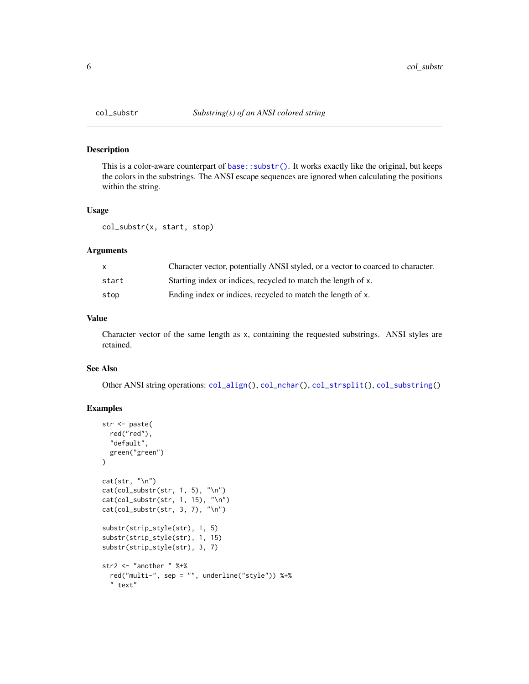<span id="page-5-1"></span><span id="page-5-0"></span>

This is a color-aware counterpart of [base::substr\(\)](#page-0-0). It works exactly like the original, but keeps the colors in the substrings. The ANSI escape sequences are ignored when calculating the positions within the string.

#### Usage

col\_substr(x, start, stop)

#### Arguments

| X     | Character vector, potentially ANSI styled, or a vector to coarced to character. |
|-------|---------------------------------------------------------------------------------|
| start | Starting index or indices, recycled to match the length of x.                   |
| stop  | Ending index or indices, recycled to match the length of x.                     |

#### Value

Character vector of the same length as x, containing the requested substrings. ANSI styles are retained.

#### See Also

Other ANSI string operations: [col\\_align\(](#page-2-1)), [col\\_nchar\(](#page-3-1)), [col\\_strsplit\(](#page-4-1)), [col\\_substring\(](#page-6-1))

```
str <- paste(
  red("red"),
  "default",
  green("green")
\mathcal{L}cat(str, "\\n")cat(col\_substr(str, 1, 5), "\\n")cat(col_substr(str, 1, 15), "\n")
cat(col_substr(str, 3, 7), "\n")
substr(strip_style(str), 1, 5)
substr(strip_style(str), 1, 15)
substr(strip_style(str), 3, 7)
str2 <- "another " %+%
  red("multi-", sep = "", underline("style")) %+%
  " text"
```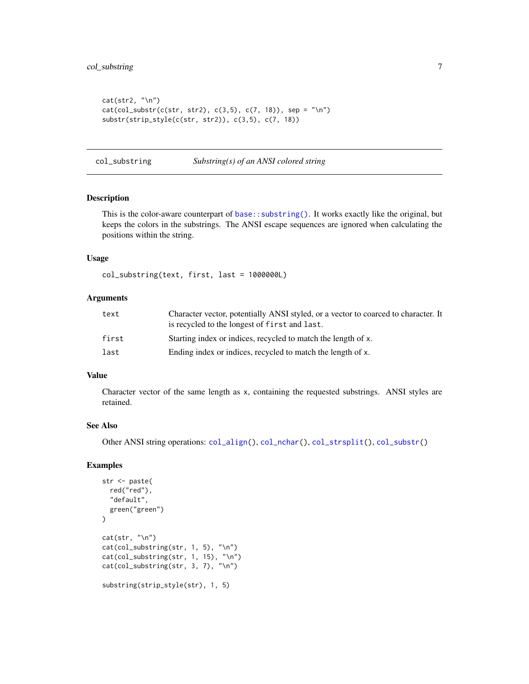```
cat(str2, "\\n")cat(col\_substr(c(str, str2), c(3,5), c(7, 18)), sep = "\n")substr(strip_style(c(str, str2)), c(3,5), c(7, 18))
```
<span id="page-6-1"></span>col\_substring *Substring(s) of an ANSI colored string*

#### Description

This is the color-aware counterpart of [base::substring\(\)](#page-0-0). It works exactly like the original, but keeps the colors in the substrings. The ANSI escape sequences are ignored when calculating the positions within the string.

#### Usage

col\_substring(text, first, last = 1000000L)

#### Arguments

| text  | Character vector, potentially ANSI styled, or a vector to coarced to character. It<br>is recycled to the longest of first and last. |
|-------|-------------------------------------------------------------------------------------------------------------------------------------|
| first | Starting index or indices, recycled to match the length of x.                                                                       |
| last  | Ending index or indices, recycled to match the length of x.                                                                         |

#### Value

Character vector of the same length as x, containing the requested substrings. ANSI styles are retained.

#### See Also

Other ANSI string operations: [col\\_align\(](#page-2-1)), [col\\_nchar\(](#page-3-1)), [col\\_strsplit\(](#page-4-1)), [col\\_substr\(](#page-5-1))

```
str <- paste(
  red("red"),
  "default",
  green("green")
\mathcal{L}cat(str, "\\n")cat(col_substring(str, 1, 5), "\n")
cat(col_substring(str, 1, 15), "\n")
cat(col_substring(str, 3, 7), "\n")
substring(strip_style(str), 1, 5)
```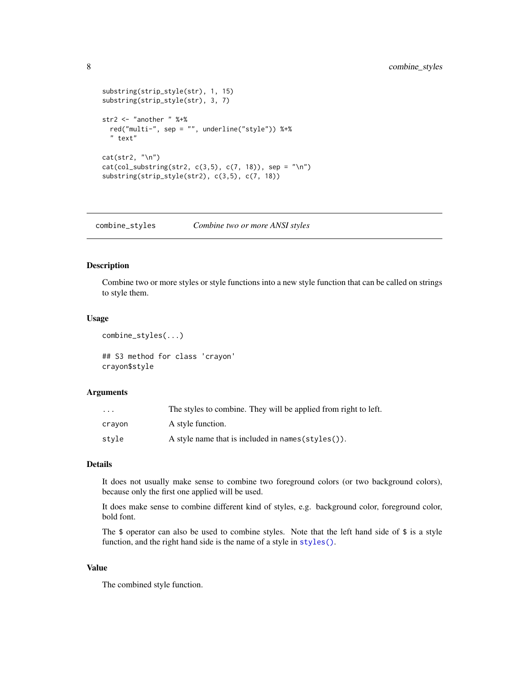```
substring(strip_style(str), 1, 15)
substring(strip_style(str), 3, 7)
str2 <- "another " %+%
  red("multi-", sep = "", underline("style")) %+%
  " text"
cat(str2, "\n")
cat(col\_substring(str2, c(3,5), c(7, 18)), sep = "n")substring(strip_style(str2), c(3,5), c(7, 18))
```
<span id="page-7-1"></span>combine\_styles *Combine two or more ANSI styles*

#### Description

Combine two or more styles or style functions into a new style function that can be called on strings to style them.

#### Usage

combine\_styles(...)

## S3 method for class 'crayon' crayon\$style

#### Arguments

| $\ddotsc$ | The styles to combine. They will be applied from right to left. |
|-----------|-----------------------------------------------------------------|
| crayon    | A style function.                                               |
| stvle     | A style name that is included in names $(\text{styles}()).$     |

#### Details

It does not usually make sense to combine two foreground colors (or two background colors), because only the first one applied will be used.

It does make sense to combine different kind of styles, e.g. background color, foreground color, bold font.

The \$ operator can also be used to combine styles. Note that the left hand side of \$ is a style function, and the right hand side is the name of a style in [styles\(\)](#page-20-1).

#### Value

The combined style function.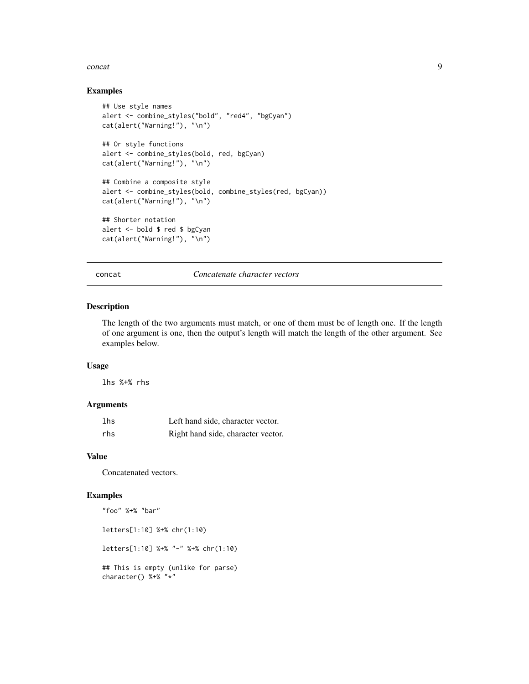#### <span id="page-8-0"></span>concat 9

#### Examples

```
## Use style names
alert <- combine_styles("bold", "red4", "bgCyan")
cat(alert("Warning!"), "\n")
## Or style functions
alert <- combine_styles(bold, red, bgCyan)
cat(alert("Warning!"), "\n")
## Combine a composite style
alert <- combine_styles(bold, combine_styles(red, bgCyan))
cat(alert("Warning!"), "\n")
## Shorter notation
alert <- bold $ red $ bgCyan
cat(alert("Warning!"), "\n")
```
concat *Concatenate character vectors*

#### Description

The length of the two arguments must match, or one of them must be of length one. If the length of one argument is one, then the output's length will match the length of the other argument. See examples below.

#### Usage

lhs %+% rhs

#### Arguments

| lhs | Left hand side, character vector.  |
|-----|------------------------------------|
| rhs | Right hand side, character vector. |

#### Value

Concatenated vectors.

```
"foo" %+% "bar"
letters[1:10] %+% chr(1:10)
letters[1:10] %+% "-" %+% chr(1:10)
## This is empty (unlike for parse)
character() %+% "*"
```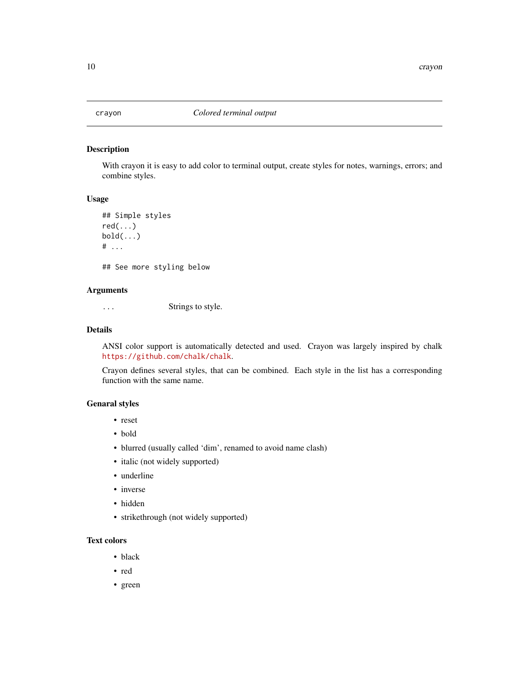<span id="page-9-1"></span><span id="page-9-0"></span>

With crayon it is easy to add color to terminal output, create styles for notes, warnings, errors; and combine styles.

#### Usage

```
## Simple styles
red(...)
bold(\ldots)# ...
## See more styling below
```
#### Arguments

... Strings to style.

#### Details

ANSI color support is automatically detected and used. Crayon was largely inspired by chalk <https://github.com/chalk/chalk>.

Crayon defines several styles, that can be combined. Each style in the list has a corresponding function with the same name.

#### Genaral styles

- reset
- bold
- blurred (usually called 'dim', renamed to avoid name clash)
- italic (not widely supported)
- underline
- inverse
- hidden
- strikethrough (not widely supported)

#### Text colors

- black
- red
- green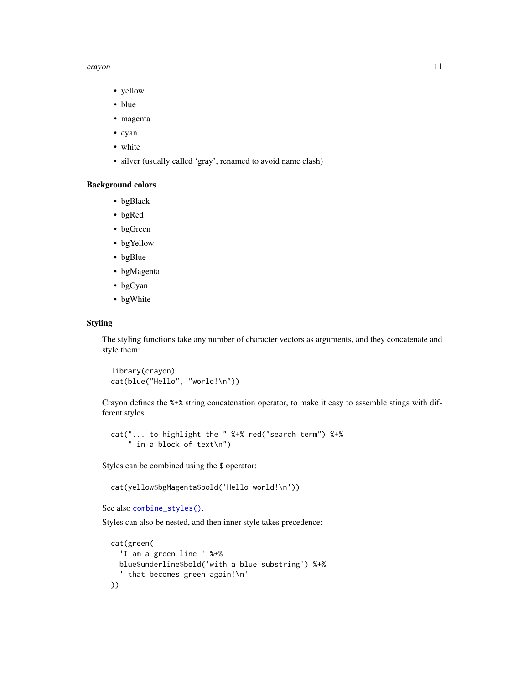#### <span id="page-10-0"></span>crayon and the contract of the contract of the contract of the contract of the contract of the contract of the contract of the contract of the contract of the contract of the contract of the contract of the contract of the

- yellow
- blue
- magenta
- cyan
- white
- silver (usually called 'gray', renamed to avoid name clash)

#### Background colors

- bgBlack
- bgRed
- bgGreen
- bgYellow
- bgBlue
- bgMagenta
- bgCyan
- bgWhite

#### Styling

The styling functions take any number of character vectors as arguments, and they concatenate and style them:

library(crayon) cat(blue("Hello", "world!\n"))

Crayon defines the %+% string concatenation operator, to make it easy to assemble stings with different styles.

```
cat("... to highlight the " %+% red("search term") %+%
    " in a block of text\n")
```
Styles can be combined using the \$ operator:

```
cat(yellow$bgMagenta$bold('Hello world!\n'))
```

```
See also combine_styles().
```
Styles can also be nested, and then inner style takes precedence:

```
cat(green(
  'I am a green line ' %+%
 blue$underline$bold('with a blue substring') %+%
  ' that becomes green again!\n'
))
```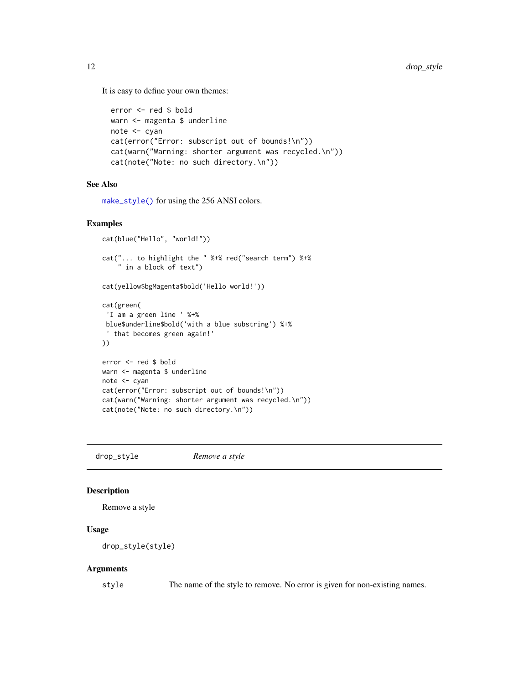It is easy to define your own themes:

```
error <- red $ bold
warn <- magenta $ underline
note <- cyan
cat(error("Error: subscript out of bounds!\n"))
cat(warn("Warning: shorter argument was recycled.\n"))
cat(note("Note: no such directory.\n"))
```
#### See Also

[make\\_style\(\)](#page-14-1) for using the 256 ANSI colors.

#### Examples

```
cat(blue("Hello", "world!"))
cat("... to highlight the " %+% red("search term") %+%
    " in a block of text")
cat(yellow$bgMagenta$bold('Hello world!'))
cat(green(
 'I am a green line ' %+%
 blue$underline$bold('with a blue substring') %+%
 ' that becomes green again!'
))
error <- red $ bold
warn <- magenta $ underline
note <- cyan
cat(error("Error: subscript out of bounds!\n"))
cat(warn("Warning: shorter argument was recycled.\n"))
cat(note("Note: no such directory.\n"))
```
<span id="page-11-1"></span>drop\_style *Remove a style*

#### Description

Remove a style

#### Usage

drop\_style(style)

#### Arguments

style The name of the style to remove. No error is given for non-existing names.

<span id="page-11-0"></span>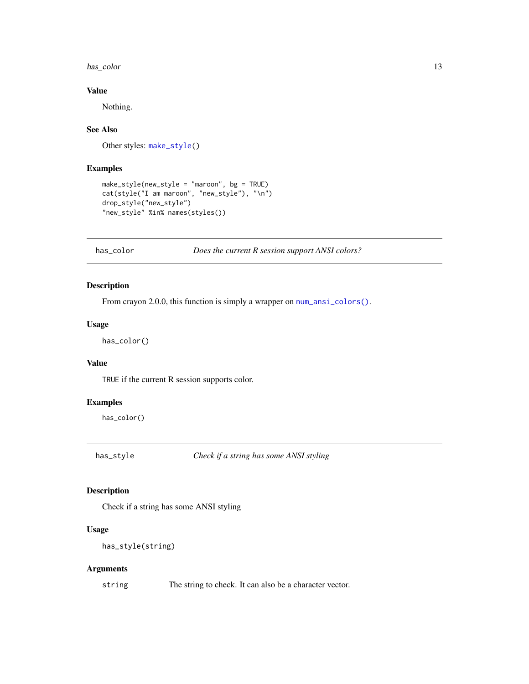#### <span id="page-12-0"></span>has\_color 13

#### Value

Nothing.

#### See Also

Other styles: [make\\_style\(](#page-14-1))

#### Examples

```
make_style(new_style = "maroon", bg = TRUE)
cat(style("I am maroon", "new_style"), "\n")
drop_style("new_style")
"new_style" %in% names(styles())
```
has\_color *Does the current R session support ANSI colors?*

#### Description

From crayon 2.0.0, this function is simply a wrapper on  $num\_ansi\_colors()$ .

#### Usage

has\_color()

#### Value

TRUE if the current R session supports color.

#### Examples

has\_color()

has\_style *Check if a string has some ANSI styling*

#### Description

Check if a string has some ANSI styling

#### Usage

has\_style(string)

#### Arguments

string The string to check. It can also be a character vector.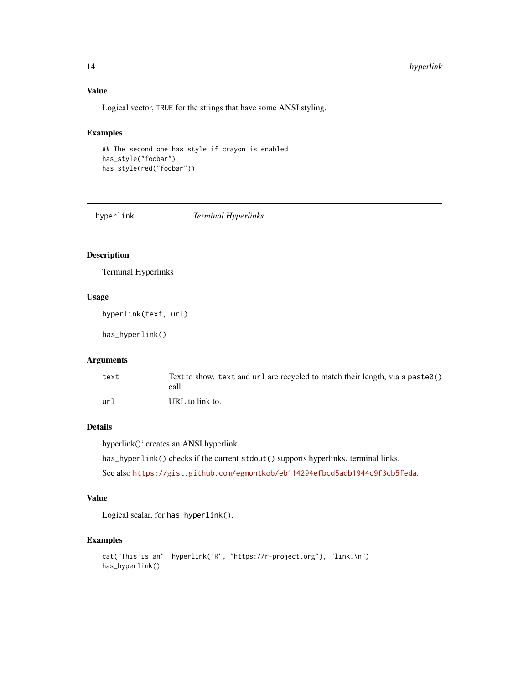#### Value

Logical vector, TRUE for the strings that have some ANSI styling.

#### Examples

```
## The second one has style if crayon is enabled
has_style("foobar")
has_style(red("foobar"))
```
hyperlink *Terminal Hyperlinks*

#### Description

Terminal Hyperlinks

#### Usage

```
hyperlink(text, url)
```
has\_hyperlink()

#### Arguments

| text | Text to show, text and $url$ are recycled to match their length, via a paste $\theta()$<br>call. |
|------|--------------------------------------------------------------------------------------------------|
| url  | URL to link to.                                                                                  |

#### Details

hyperlink()' creates an ANSI hyperlink.

has\_hyperlink() checks if the current stdout() supports hyperlinks. terminal links. See also <https://gist.github.com/egmontkob/eb114294efbcd5adb1944c9f3cb5feda>.

#### Value

Logical scalar, for has\_hyperlink().

```
cat("This is an", hyperlink("R", "https://r-project.org"), "link.\n")
has_hyperlink()
```
<span id="page-13-0"></span>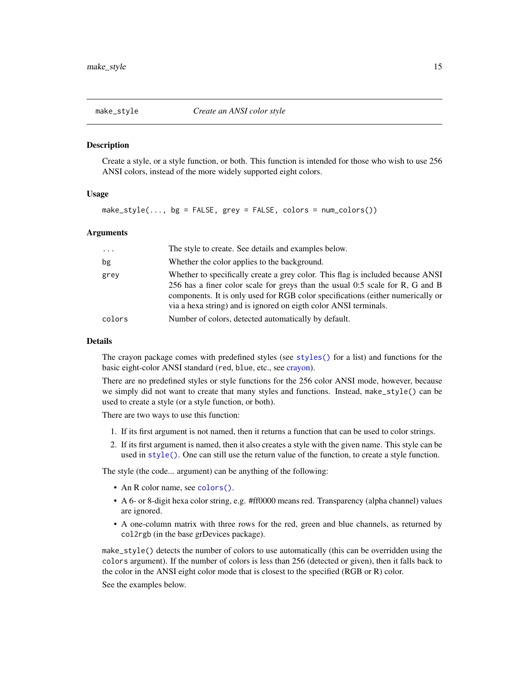<span id="page-14-1"></span><span id="page-14-0"></span>

Create a style, or a style function, or both. This function is intended for those who wish to use 256 ANSI colors, instead of the more widely supported eight colors.

#### Usage

make\_style(...,  $bg = FALSE$ , grey = FALSE, colors = num\_colors())

#### Arguments

| $\ddotsc$ | The style to create. See details and examples below.                                                                                                                                                                                                                                                                    |
|-----------|-------------------------------------------------------------------------------------------------------------------------------------------------------------------------------------------------------------------------------------------------------------------------------------------------------------------------|
| bg        | Whether the color applies to the background.                                                                                                                                                                                                                                                                            |
| grey      | Whether to specifically create a grey color. This flag is included because ANSI<br>256 has a finer color scale for greys than the usual 0:5 scale for R, G and B<br>components. It is only used for RGB color specifications (either numerically or<br>via a hexa string) and is ignored on eigth color ANSI terminals. |
| colors    | Number of colors, detected automatically by default.                                                                                                                                                                                                                                                                    |

#### Details

The crayon package comes with predefined styles (see [styles\(\)](#page-20-1) for a list) and functions for the basic eight-color ANSI standard (red, blue, etc., see [crayon\)](#page-9-1).

There are no predefined styles or style functions for the 256 color ANSI mode, however, because we simply did not want to create that many styles and functions. Instead, make\_style() can be used to create a style (or a style function, or both).

There are two ways to use this function:

- 1. If its first argument is not named, then it returns a function that can be used to color strings.
- 2. If its first argument is named, then it also creates a style with the given name. This style can be used in [style\(\)](#page-20-2). One can still use the return value of the function, to create a style function.

The style (the code... argument) can be anything of the following:

- An R color name, see [colors\(\)](#page-0-0).
- A 6- or 8-digit hexa color string, e.g. #ff0000 means red. Transparency (alpha channel) values are ignored.
- A one-column matrix with three rows for the red, green and blue channels, as returned by col2rgb (in the base grDevices package).

make\_style() detects the number of colors to use automatically (this can be overridden using the colors argument). If the number of colors is less than 256 (detected or given), then it falls back to the color in the ANSI eight color mode that is closest to the specified (RGB or R) color.

See the examples below.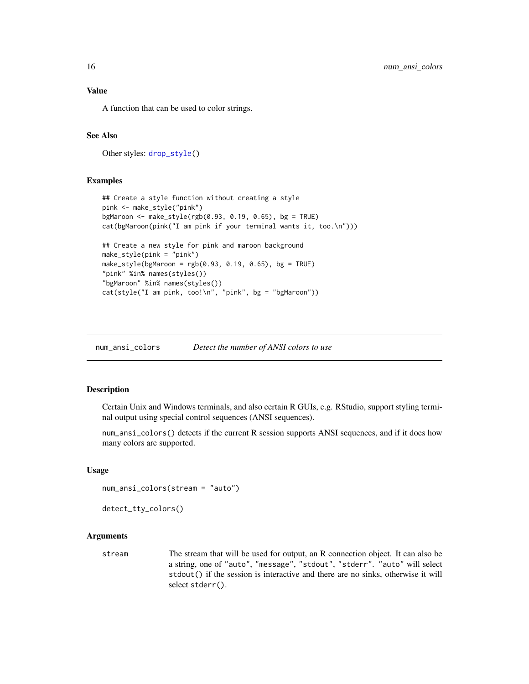A function that can be used to color strings.

#### See Also

Other styles: [drop\\_style\(](#page-11-1))

#### Examples

```
## Create a style function without creating a style
pink <- make_style("pink")
bgMaroon <- make_style(rgb(0.93, 0.19, 0.65), bg = TRUE)
cat(bgMaroon(pink("I am pink if your terminal wants it, too.\n")))
## Create a new style for pink and maroon background
make_style(pink = "pink")
make_style(bgMaroon = rgb(0.93, 0.19, 0.65), bg = TRUE)
"pink" %in% names(styles())
"bgMaroon" %in% names(styles())
cat(style("I am pink, too!\n", "pink", bg = "bgMaroon"))
```
<span id="page-15-1"></span>num\_ansi\_colors *Detect the number of ANSI colors to use*

#### Description

Certain Unix and Windows terminals, and also certain R GUIs, e.g. RStudio, support styling terminal output using special control sequences (ANSI sequences).

num\_ansi\_colors() detects if the current R session supports ANSI sequences, and if it does how many colors are supported.

#### Usage

```
num_ansi_colors(stream = "auto")
```

```
detect_tty_colors()
```
#### Arguments

stream The stream that will be used for output, an R connection object. It can also be a string, one of "auto", "message", "stdout", "stderr". "auto" will select stdout() if the session is interactive and there are no sinks, otherwise it will select stderr().

<span id="page-15-0"></span>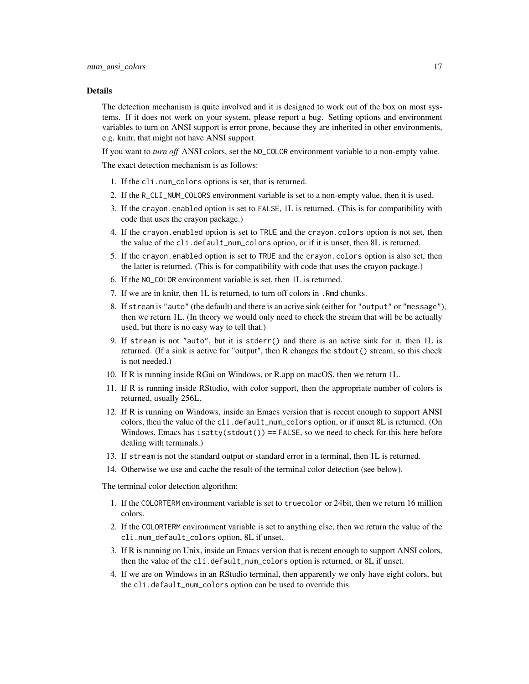#### Details

The detection mechanism is quite involved and it is designed to work out of the box on most systems. If it does not work on your system, please report a bug. Setting options and environment variables to turn on ANSI support is error prone, because they are inherited in other environments, e.g. knitr, that might not have ANSI support.

If you want to *turn off* ANSI colors, set the NO\_COLOR environment variable to a non-empty value. The exact detection mechanism is as follows:

- 1. If the cli.num\_colors options is set, that is returned.
- 2. If the R\_CLI\_NUM\_COLORS environment variable is set to a non-empty value, then it is used.
- 3. If the crayon.enabled option is set to FALSE, 1L is returned. (This is for compatibility with code that uses the crayon package.)
- 4. If the crayon.enabled option is set to TRUE and the crayon.colors option is not set, then the value of the cli.default\_num\_colors option, or if it is unset, then 8L is returned.
- 5. If the crayon.enabled option is set to TRUE and the crayon.colors option is also set, then the latter is returned. (This is for compatibility with code that uses the crayon package.)
- 6. If the NO\_COLOR environment variable is set, then 1L is returned.
- 7. If we are in knitr, then 1L is returned, to turn off colors in .Rmd chunks.
- 8. If stream is "auto" (the default) and there is an active sink (either for "output" or "message"), then we return 1L. (In theory we would only need to check the stream that will be be actually used, but there is no easy way to tell that.)
- 9. If stream is not "auto", but it is stderr() and there is an active sink for it, then 1L is returned. (If a sink is active for "output", then R changes the stdout() stream, so this check is not needed.)
- 10. If R is running inside RGui on Windows, or R.app on macOS, then we return 1L.
- 11. If R is running inside RStudio, with color support, then the appropriate number of colors is returned, usually 256L.
- 12. If R is running on Windows, inside an Emacs version that is recent enough to support ANSI colors, then the value of the cli.default\_num\_colors option, or if unset 8L is returned. (On Windows, Emacs has isatty( $stdout()$ ) == FALSE, so we need to check for this here before dealing with terminals.)
- 13. If stream is not the standard output or standard error in a terminal, then 1L is returned.
- 14. Otherwise we use and cache the result of the terminal color detection (see below).

The terminal color detection algorithm:

- 1. If the COLORTERM environment variable is set to truecolor or 24bit, then we return 16 million colors.
- 2. If the COLORTERM environment variable is set to anything else, then we return the value of the cli.num\_default\_colors option, 8L if unset.
- 3. If R is running on Unix, inside an Emacs version that is recent enough to support ANSI colors, then the value of the cli.default\_num\_colors option is returned, or 8L if unset.
- 4. If we are on Windows in an RStudio terminal, then apparently we only have eight colors, but the cli.default\_num\_colors option can be used to override this.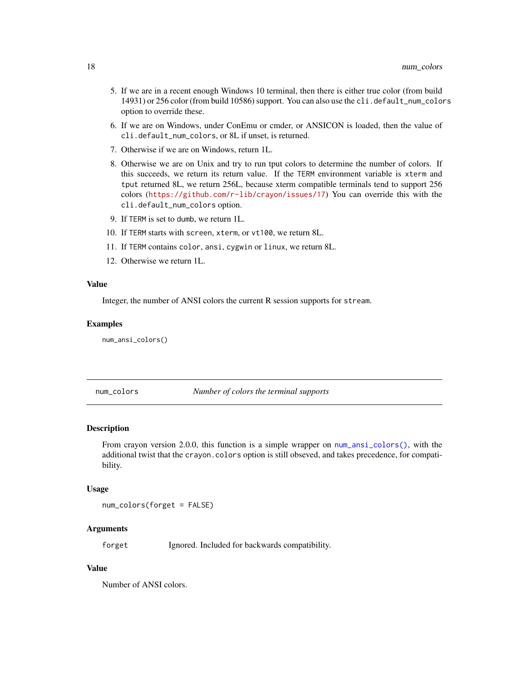- <span id="page-17-0"></span>5. If we are in a recent enough Windows 10 terminal, then there is either true color (from build 14931) or 256 color (from build 10586) support. You can also use the cli.default\_num\_colors option to override these.
- 6. If we are on Windows, under ConEmu or cmder, or ANSICON is loaded, then the value of cli.default\_num\_colors, or 8L if unset, is returned.
- 7. Otherwise if we are on Windows, return 1L.
- 8. Otherwise we are on Unix and try to run tput colors to determine the number of colors. If this succeeds, we return its return value. If the TERM environment variable is xterm and tput returned 8L, we return 256L, because xterm compatible terminals tend to support 256 colors (<https://github.com/r-lib/crayon/issues/17>) You can override this with the cli.default\_num\_colors option.
- 9. If TERM is set to dumb, we return 1L.
- 10. If TERM starts with screen, xterm, or vt100, we return 8L.
- 11. If TERM contains color, ansi, cygwin or linux, we return 8L.
- 12. Otherwise we return 1L.

#### Value

Integer, the number of ANSI colors the current R session supports for stream.

#### Examples

num\_ansi\_colors()

num\_colors *Number of colors the terminal supports*

#### Description

From crayon version 2.0.0, this function is a simple wrapper on [num\\_ansi\\_colors\(\)](#page-15-1), with the additional twist that the crayon.colors option is still obseved, and takes precedence, for compatibility.

#### Usage

num\_colors(forget = FALSE)

#### Arguments

forget Ignored. Included for backwards compatibility.

#### Value

Number of ANSI colors.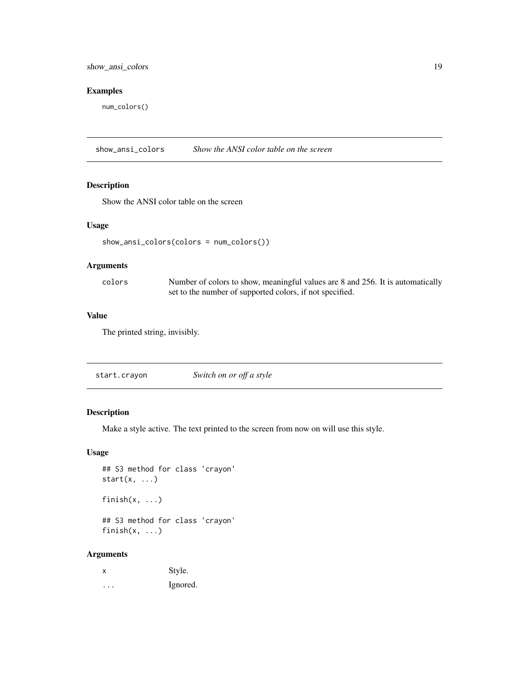#### <span id="page-18-0"></span>Examples

num\_colors()

show\_ansi\_colors *Show the ANSI color table on the screen*

#### Description

Show the ANSI color table on the screen

#### Usage

show\_ansi\_colors(colors = num\_colors())

#### Arguments

| colors | Number of colors to show, meaningful values are 8 and 256. It is automatically |
|--------|--------------------------------------------------------------------------------|
|        | set to the number of supported colors, if not specified.                       |

#### Value

The printed string, invisibly.

#### Description

Make a style active. The text printed to the screen from now on will use this style.

#### Usage

```
## S3 method for class 'crayon'
start(x, \ldots)finish(x, ...)
## S3 method for class 'crayon'
finish(x, ...)
```
#### Arguments

| х | Style.   |
|---|----------|
| . | Ignored. |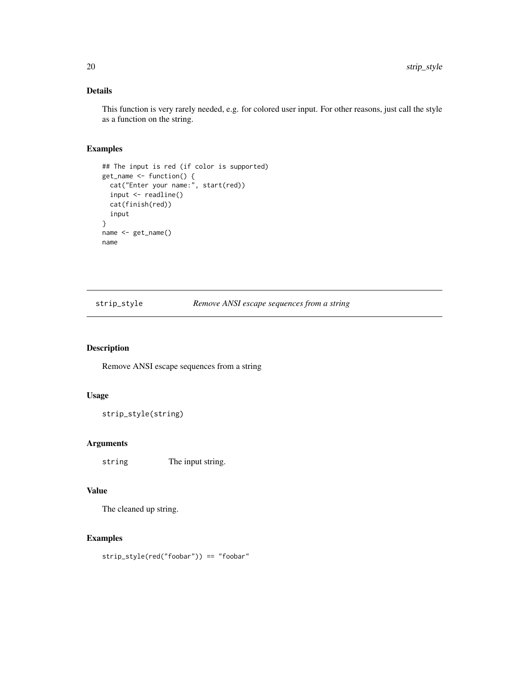#### <span id="page-19-0"></span>Details

This function is very rarely needed, e.g. for colored user input. For other reasons, just call the style as a function on the string.

#### Examples

```
## The input is red (if color is supported)
get_name <- function() {
  cat("Enter your name:", start(red))
  input <- readline()
  cat(finish(red))
  input
}
name <- get_name()
name
```
strip\_style *Remove ANSI escape sequences from a string*

#### Description

Remove ANSI escape sequences from a string

#### Usage

```
strip_style(string)
```
#### Arguments

string The input string.

#### Value

The cleaned up string.

#### Examples

strip\_style(red("foobar")) == "foobar"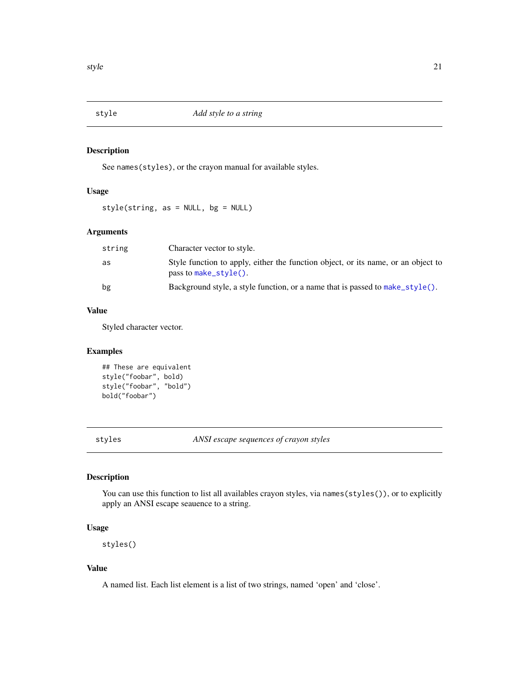<span id="page-20-2"></span><span id="page-20-0"></span>

See names(styles), or the crayon manual for available styles.

#### Usage

style(string, as = NULL, bg = NULL)

#### Arguments

| string | Character vector to style.                                                                                 |
|--------|------------------------------------------------------------------------------------------------------------|
| as     | Style function to apply, either the function object, or its name, or an object to<br>pass to make_style(). |
| bg     | Background style, a style function, or a name that is passed to make_style().                              |

#### Value

Styled character vector.

#### Examples

```
## These are equivalent
style("foobar", bold)
style("foobar", "bold")
bold("foobar")
```
<span id="page-20-1"></span>styles *ANSI escape sequences of crayon styles*

#### Description

You can use this function to list all availables crayon styles, via names(styles()), or to explicitly apply an ANSI escape seauence to a string.

#### Usage

styles()

#### Value

A named list. Each list element is a list of two strings, named 'open' and 'close'.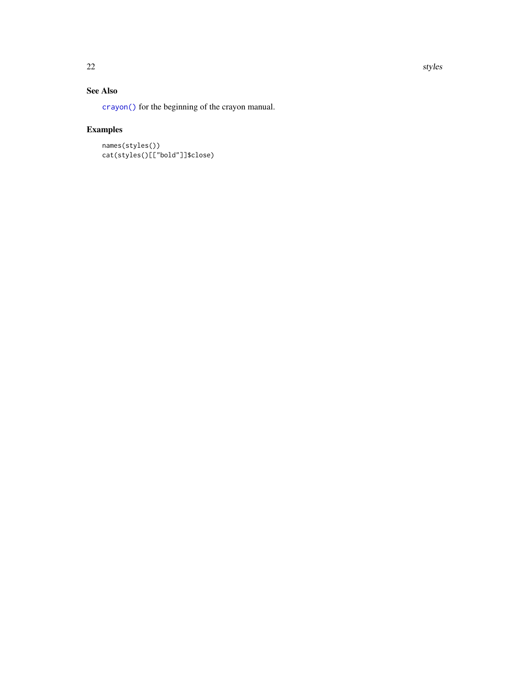#### See Also

[crayon\(\)](#page-9-1) for the beginning of the crayon manual.

```
names(styles())
cat(styles()[["bold"]]$close)
```
<span id="page-21-0"></span>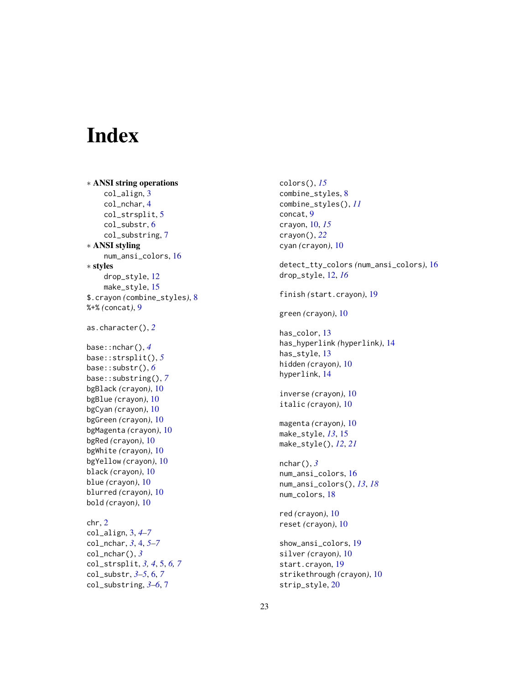# <span id="page-22-0"></span>Index

∗ ANSI string operations col\_align, [3](#page-2-0) col\_nchar, [4](#page-3-0) col\_strsplit, [5](#page-4-0) col\_substr, [6](#page-5-0) col\_substring, [7](#page-6-0) ∗ ANSI styling num\_ansi\_colors, [16](#page-15-0) ∗ styles drop\_style, [12](#page-11-0) make\_style, [15](#page-14-0) \$.crayon *(*combine\_styles*)*, [8](#page-7-0) %+% *(*concat*)*, [9](#page-8-0) as.character(), *[2](#page-1-0)* base::nchar(), *[4](#page-3-0)* base::strsplit(), *[5](#page-4-0)* base::substr(), *[6](#page-5-0)* base::substring(), *[7](#page-6-0)* bgBlack *(*crayon*)*, [10](#page-9-0) bgBlue *(*crayon*)*, [10](#page-9-0) bgCyan *(*crayon*)*, [10](#page-9-0) bgGreen *(*crayon*)*, [10](#page-9-0) bgMagenta *(*crayon*)*, [10](#page-9-0) bgRed *(*crayon*)*, [10](#page-9-0) bgWhite *(*crayon*)*, [10](#page-9-0) bgYellow *(*crayon*)*, [10](#page-9-0) black *(*crayon*)*, [10](#page-9-0) blue *(*crayon*)*, [10](#page-9-0) blurred *(*crayon*)*, [10](#page-9-0) bold *(*crayon*)*, [10](#page-9-0) chr, [2](#page-1-0) col\_align, [3,](#page-2-0) *[4](#page-3-0)[–7](#page-6-0)* col\_nchar, *[3](#page-2-0)*, [4,](#page-3-0) *[5](#page-4-0)[–7](#page-6-0)* col\_nchar(), *[3](#page-2-0)* col\_strsplit, *[3,](#page-2-0) [4](#page-3-0)*, [5,](#page-4-0) *[6,](#page-5-0) [7](#page-6-0)* col\_substr, *[3](#page-2-0)[–5](#page-4-0)*, [6,](#page-5-0) *[7](#page-6-0)* col\_substring, *[3](#page-2-0)[–6](#page-5-0)*, [7](#page-6-0)

colors(), *[15](#page-14-0)* combine\_styles, [8](#page-7-0) combine\_styles(), *[11](#page-10-0)* concat, [9](#page-8-0) crayon, [10,](#page-9-0) *[15](#page-14-0)* crayon(), *[22](#page-21-0)* cyan *(*crayon*)*, [10](#page-9-0) detect\_tty\_colors *(*num\_ansi\_colors*)*, [16](#page-15-0) drop\_style, [12,](#page-11-0) *[16](#page-15-0)* finish *(*start.crayon*)*, [19](#page-18-0) green *(*crayon*)*, [10](#page-9-0) has\_color, [13](#page-12-0) has\_hyperlink *(*hyperlink*)*, [14](#page-13-0) has\_style, [13](#page-12-0) hidden *(*crayon*)*, [10](#page-9-0) hyperlink, [14](#page-13-0) inverse *(*crayon*)*, [10](#page-9-0) italic *(*crayon*)*, [10](#page-9-0) magenta *(*crayon*)*, [10](#page-9-0) make\_style, *[13](#page-12-0)*, [15](#page-14-0) make\_style(), *[12](#page-11-0)*, *[21](#page-20-0)* nchar(), *[3](#page-2-0)* num\_ansi\_colors, [16](#page-15-0) num\_ansi\_colors(), *[13](#page-12-0)*, *[18](#page-17-0)* num\_colors, [18](#page-17-0) red *(*crayon*)*, [10](#page-9-0) reset *(*crayon*)*, [10](#page-9-0) show\_ansi\_colors, [19](#page-18-0) silver *(*crayon*)*, [10](#page-9-0) start.crayon, [19](#page-18-0) strikethrough *(*crayon*)*, [10](#page-9-0)

strip\_style, [20](#page-19-0)